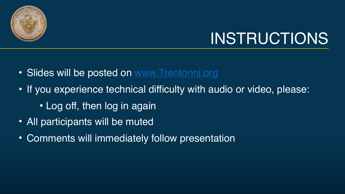

# INSTRUCTIONS

- Slides will be posted on [www.Trentonnj.org](http://www.trentonnj.org/)
- If you experience technical difficulty with audio or video, please:
	- Log off, then log in again
- All participants will be muted
- Comments will immediately follow presentation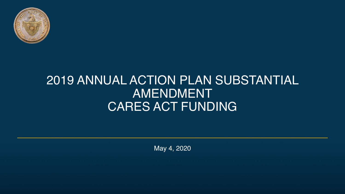

### 2019 ANNUAL ACTION PLAN SUBSTANTIAL AMENDMENT CARES ACT FUNDING

May 4, 2020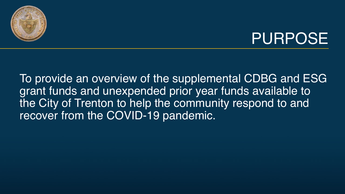

### PURPOSE

To provide an overview of the supplemental CDBG and ESG grant funds and unexpended prior year funds available to the City of Trenton to help the community respond to and recover from the COVID-19 pandemic.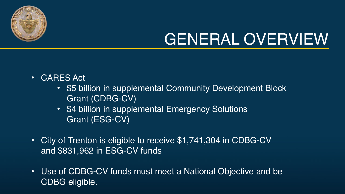

- CARES Act
	- \$5 billion in supplemental Community Development Block Grant (CDBG-CV)
	- \$4 billion in supplemental Emergency Solutions Grant (ESG-CV)
- City of Trenton is eligible to receive \$1,741,304 in CDBG-CV and \$831,962 in ESG-CV funds
- Use of CDBG-CV funds must meet a National Objective and be CDBG eligible.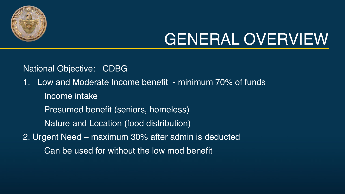

National Objective: CDBG

1. Low and Moderate Income benefit - minimum 70% of funds Income intake

Presumed benefit (seniors, homeless)

Nature and Location (food distribution)

2. Urgent Need – maximum 30% after admin is deducted

Can be used for without the low mod benefit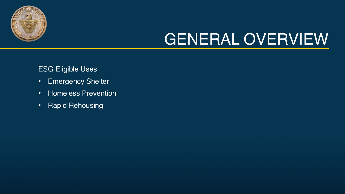

ESG Eligible Uses

- Emergency Shelter
- Homeless Prevention
- Rapid Rehousing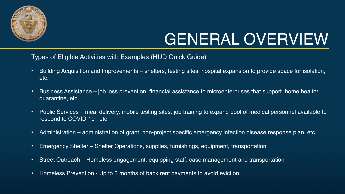

Types of Eligible Activities with Examples (HUD Quick Guide)

- Building Acquisition and Improvements shelters, testing sites, hospital expansion to provide space for isolation, etc.
- Business Assistance job loss prevention, financial assistance to microenterprises that support home health/ quarantine, etc.
- Public Services meal delivery, mobile testing sites, job training to expand pool of medical personnel available to respond to COVID-19 , etc.
- Administration administration of grant, non-project specific emergency infection disease response plan, etc.
- Emergency Shelter Shelter Operations, supplies, furnishings, equipment, transportation
- Street Outreach Homeless engagement, equipping staff, case management and transportation
- Homeless Prevention Up to 3 months of back rent payments to avoid eviction.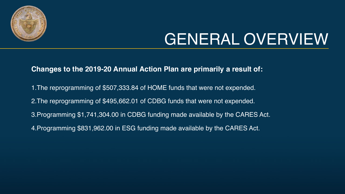

#### **Changes to the 2019-20 Annual Action Plan are primarily a result of:**

1.The reprogramming of \$507,333.84 of HOME funds that were not expended. 2.The reprogramming of \$495,662.01 of CDBG funds that were not expended. 3.Programming \$1,741,304.00 in CDBG funding made available by the CARES Act. 4.Programming \$831,962.00 in ESG funding made available by the CARES Act.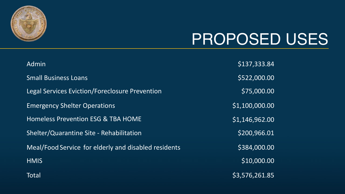

### PROPOSED USES

| Admin                                                | \$137,333.84   |
|------------------------------------------------------|----------------|
| <b>Small Business Loans</b>                          | \$522,000.00   |
| Legal Services Eviction/Foreclosure Prevention       | \$75,000.00    |
| <b>Emergency Shelter Operations</b>                  | \$1,100,000.00 |
| <b>Homeless Prevention ESG &amp; TBA HOME</b>        | \$1,146,962.00 |
| Shelter/Quarantine Site - Rehabilitation             | \$200,966.01   |
| Meal/Food Service for elderly and disabled residents | \$384,000.00   |
| <b>HMIS</b>                                          | \$10,000.00    |
| Total                                                | \$3,576,261.85 |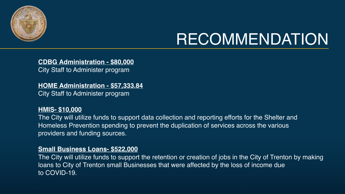

#### **CDBG Administration - \$80,000**

City Staff to Administer program

#### **HOME Administration - \$57,333.84**

City Staff to Administer program

#### **HMIS- \$10,000**

The City will utilize funds to support data collection and reporting efforts for the Shelter and Homeless Prevention spending to prevent the duplication of services across the various providers and funding sources.

#### **Small Business Loans- \$522,000**

The City will utilize funds to support the retention or creation of jobs in the City of Trenton by making loans to City of Trenton small Businesses that were affected by the loss of income due to COVID-19.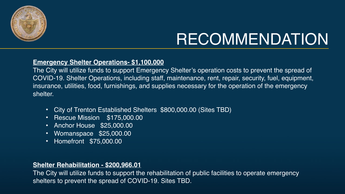

#### **Emergency Shelter Operations- \$1,100,000**

The City will utilize funds to support Emergency Shelter's operation costs to prevent the spread of COVID-19. Shelter Operations, including staff, maintenance, rent, repair, security, fuel, equipment, insurance, utilities, food, furnishings, and supplies necessary for the operation of the emergency shelter.

- City of Trenton Established Shelters \$800,000.00 (Sites TBD)
- Rescue Mission \$175,000.00
- Anchor House \$25,000.00
- Womanspace \$25,000.00
- Homefront \$75,000.00

#### **Shelter Rehabilitation - \$200,966.01**

The City will utilize funds to support the rehabilitation of public facilities to operate emergency shelters to prevent the spread of COVID-19. Sites TBD.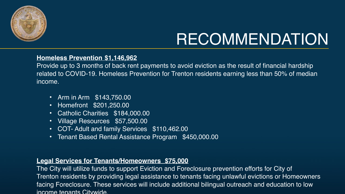

#### **Homeless Prevention \$1,146,962**

Provide up to 3 months of back rent payments to avoid eviction as the result of financial hardship related to COVID-19. Homeless Prevention for Trenton residents earning less than 50% of median income.

- Arm in Arm \$143,750.00
- Homefront \$201,250.00
- Catholic Charities \$184,000.00
- Village Resources \$57,500.00
- COT- Adult and family Services \$110,462.00
- Tenant Based Rental Assistance Program \$450,000.00

#### **Legal Services for Tenants/Homeowners \$75,000**

The City will utilize funds to support Eviction and Foreclosure prevention efforts for City of Trenton residents by providing legal assistance to tenants facing unlawful evictions or Homeowners facing Foreclosure. These services will include additional bilingual outreach and education to low income tenants Citywide.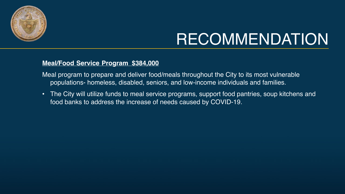

#### **Meal/Food Service Program \$384,000**

- Meal program to prepare and deliver food/meals throughout the City to its most vulnerable populations- homeless, disabled, seniors, and low-income individuals and families.
- The City will utilize funds to meal service programs, support food pantries, soup kitchens and food banks to address the increase of needs caused by COVID-19.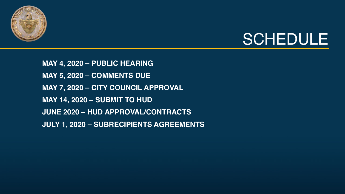



**MAY 4, 2020 – PUBLIC HEARING MAY 5, 2020 – COMMENTS DUE MAY 7, 2020 – CITY COUNCIL APPROVAL MAY 14, 2020 – SUBMIT TO HUD JUNE 2020 – HUD APPROVAL/CONTRACTS JULY 1, 2020 – SUBRECIPIENTS AGREEMENTS**